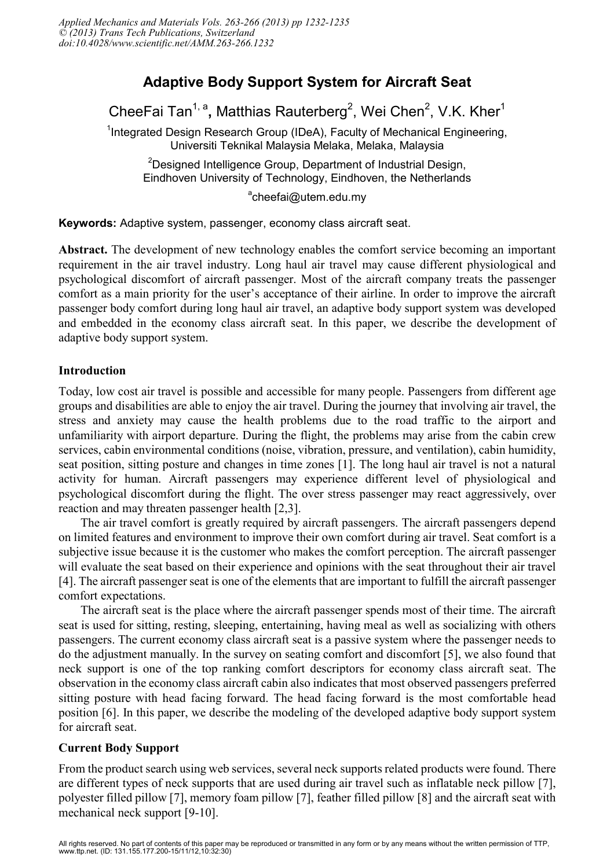# **Adaptive Body Support System for Aircraft Seat**

CheeFai Tan<sup>1, a</sup>, Matthias Rauterberg<sup>2</sup>, Wei Chen<sup>2</sup>, V.K. Kher<sup>1</sup>

<sup>1</sup>Integrated Design Research Group (IDeA), Faculty of Mechanical Engineering, Universiti Teknikal Malaysia Melaka, Melaka, Malaysia

<sup>2</sup>Designed Intelligence Group, Department of Industrial Design, Eindhoven University of Technology, Eindhoven, the Netherlands

<sup>a</sup>cheefai@utem.edu.my

**Keywords:** Adaptive system, passenger, economy class aircraft seat.

**Abstract.** The development of new technology enables the comfort service becoming an important requirement in the air travel industry. Long haul air travel may cause different physiological and psychological discomfort of aircraft passenger. Most of the aircraft company treats the passenger comfort as a main priority for the user's acceptance of their airline. In order to improve the aircraft passenger body comfort during long haul air travel, an adaptive body support system was developed and embedded in the economy class aircraft seat. In this paper, we describe the development of adaptive body support system.

### **Introduction**

Today, low cost air travel is possible and accessible for many people. Passengers from different age groups and disabilities are able to enjoy the air travel. During the journey that involving air travel, the stress and anxiety may cause the health problems due to the road traffic to the airport and unfamiliarity with airport departure. During the flight, the problems may arise from the cabin crew services, cabin environmental conditions (noise, vibration, pressure, and ventilation), cabin humidity, seat position, sitting posture and changes in time zones [1]. The long haul air travel is not a natural activity for human. Aircraft passengers may experience different level of physiological and psychological discomfort during the flight. The over stress passenger may react aggressively, over reaction and may threaten passenger health [2,3].

The air travel comfort is greatly required by aircraft passengers. The aircraft passengers depend on limited features and environment to improve their own comfort during air travel. Seat comfort is a subjective issue because it is the customer who makes the comfort perception. The aircraft passenger will evaluate the seat based on their experience and opinions with the seat throughout their air travel [4]. The aircraft passenger seat is one of the elements that are important to fulfill the aircraft passenger comfort expectations.

The aircraft seat is the place where the aircraft passenger spends most of their time. The aircraft seat is used for sitting, resting, sleeping, entertaining, having meal as well as socializing with others passengers. The current economy class aircraft seat is a passive system where the passenger needs to do the adjustment manually. In the survey on seating comfort and discomfort [5], we also found that neck support is one of the top ranking comfort descriptors for economy class aircraft seat. The observation in the economy class aircraft cabin also indicates that most observed passengers preferred sitting posture with head facing forward. The head facing forward is the most comfortable head position [6]. In this paper, we describe the modeling of the developed adaptive body support system for aircraft seat.

### **Current Body Support**

From the product search using web services, several neck supports related products were found. There are different types of neck supports that are used during air travel such as inflatable neck pillow [7], polyester filled pillow [7], memory foam pillow [7], feather filled pillow [8] and the aircraft seat with mechanical neck support [9-10].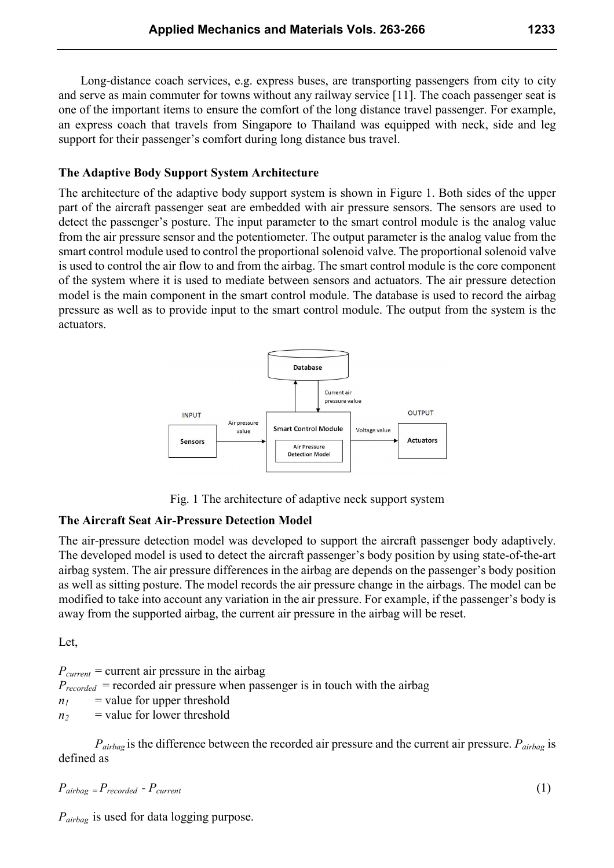Long-distance coach services, e.g. express buses, are transporting passengers from city to city and serve as main commuter for towns without any railway service [11]. The coach passenger seat is one of the important items to ensure the comfort of the long distance travel passenger. For example, an express coach that travels from Singapore to Thailand was equipped with neck, side and leg support for their passenger's comfort during long distance bus travel.

### **The Adaptive Body Support System Architecture**

The architecture of the adaptive body support system is shown in Figure 1. Both sides of the upper part of the aircraft passenger seat are embedded with air pressure sensors. The sensors are used to detect the passenger's posture. The input parameter to the smart control module is the analog value from the air pressure sensor and the potentiometer. The output parameter is the analog value from the smart control module used to control the proportional solenoid valve. The proportional solenoid valve is used to control the air flow to and from the airbag. The smart control module is the core component of the system where it is used to mediate between sensors and actuators. The air pressure detection model is the main component in the smart control module. The database is used to record the airbag pressure as well as to provide input to the smart control module. The output from the system is the actuators.



Fig. 1 The architecture of adaptive neck support system

## **The Aircraft Seat Air-Pressure Detection Model**

The air-pressure detection model was developed to support the aircraft passenger body adaptively. The developed model is used to detect the aircraft passenger's body position by using state-of-the-art airbag system. The air pressure differences in the airbag are depends on the passenger's body position as well as sitting posture. The model records the air pressure change in the airbags. The model can be modified to take into account any variation in the air pressure. For example, if the passenger's body is away from the supported airbag, the current air pressure in the airbag will be reset.

Let,

 $P_{current}$  = current air pressure in the airbag  $P_{recorded}$  = recorded air pressure when passenger is in touch with the airbag  $n_l$  = value for upper threshold  $n_2$  = value for lower threshold

*Pairbag* is the difference between the recorded air pressure and the current air pressure. *Pairbag* is defined as

$$
P_{airbag} = P_{recorded} - P_{current} \tag{1}
$$

*Pairbag* is used for data logging purpose.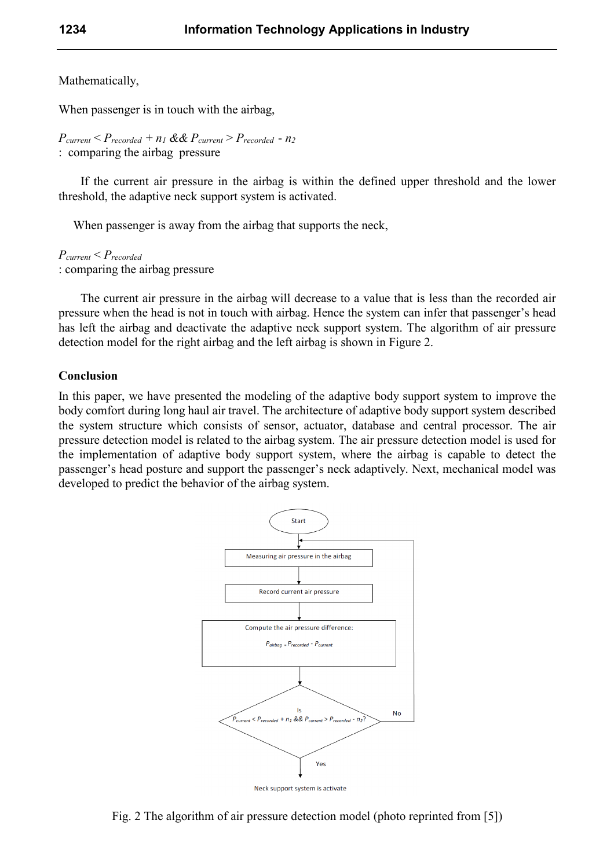Mathematically,

When passenger is in touch with the airbag.

 $P_{current} < P_{recorded} + n_1 \& R_{current} > P_{recorded} - n_2$ : comparing the airbag pressure

If the current air pressure in the airbag is within the defined upper threshold and the lower threshold, the adaptive neck support system is activated.

When passenger is away from the airbag that supports the neck,

*Pcurrent* < *Precorded* : comparing the airbag pressure

The current air pressure in the airbag will decrease to a value that is less than the recorded air pressure when the head is not in touch with airbag. Hence the system can infer that passenger's head has left the airbag and deactivate the adaptive neck support system. The algorithm of air pressure detection model for the right airbag and the left airbag is shown in Figure 2.

### **Conclusion**

In this paper, we have presented the modeling of the adaptive body support system to improve the body comfort during long haul air travel. The architecture of adaptive body support system described the system structure which consists of sensor, actuator, database and central processor. The air pressure detection model is related to the airbag system. The air pressure detection model is used for the implementation of adaptive body support system, where the airbag is capable to detect the passenger's head posture and support the passenger's neck adaptively. Next, mechanical model was developed to predict the behavior of the airbag system.



Fig. 2 The algorithm of air pressure detection model (photo reprinted from [5])